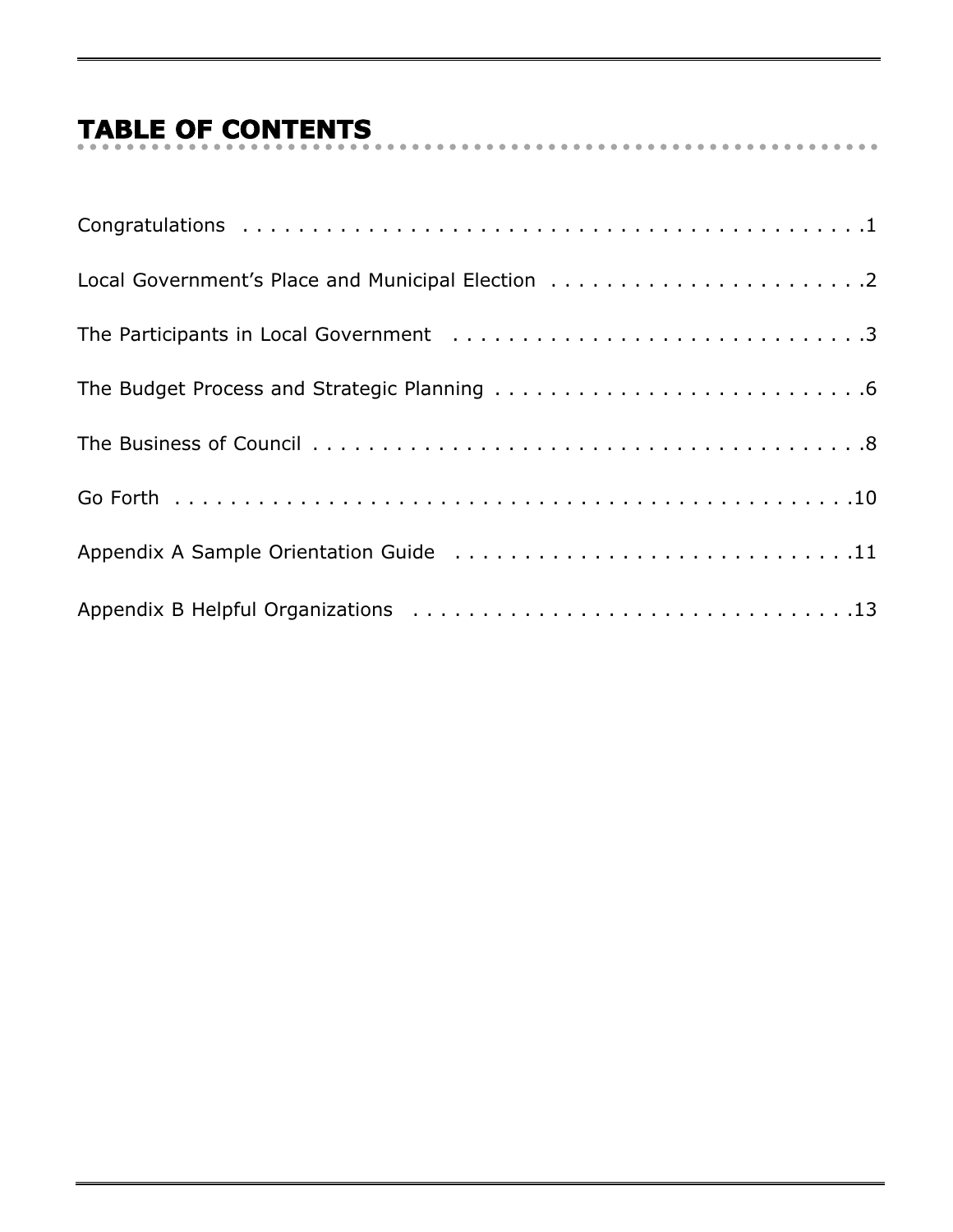# **TABLE OF CONTENTS**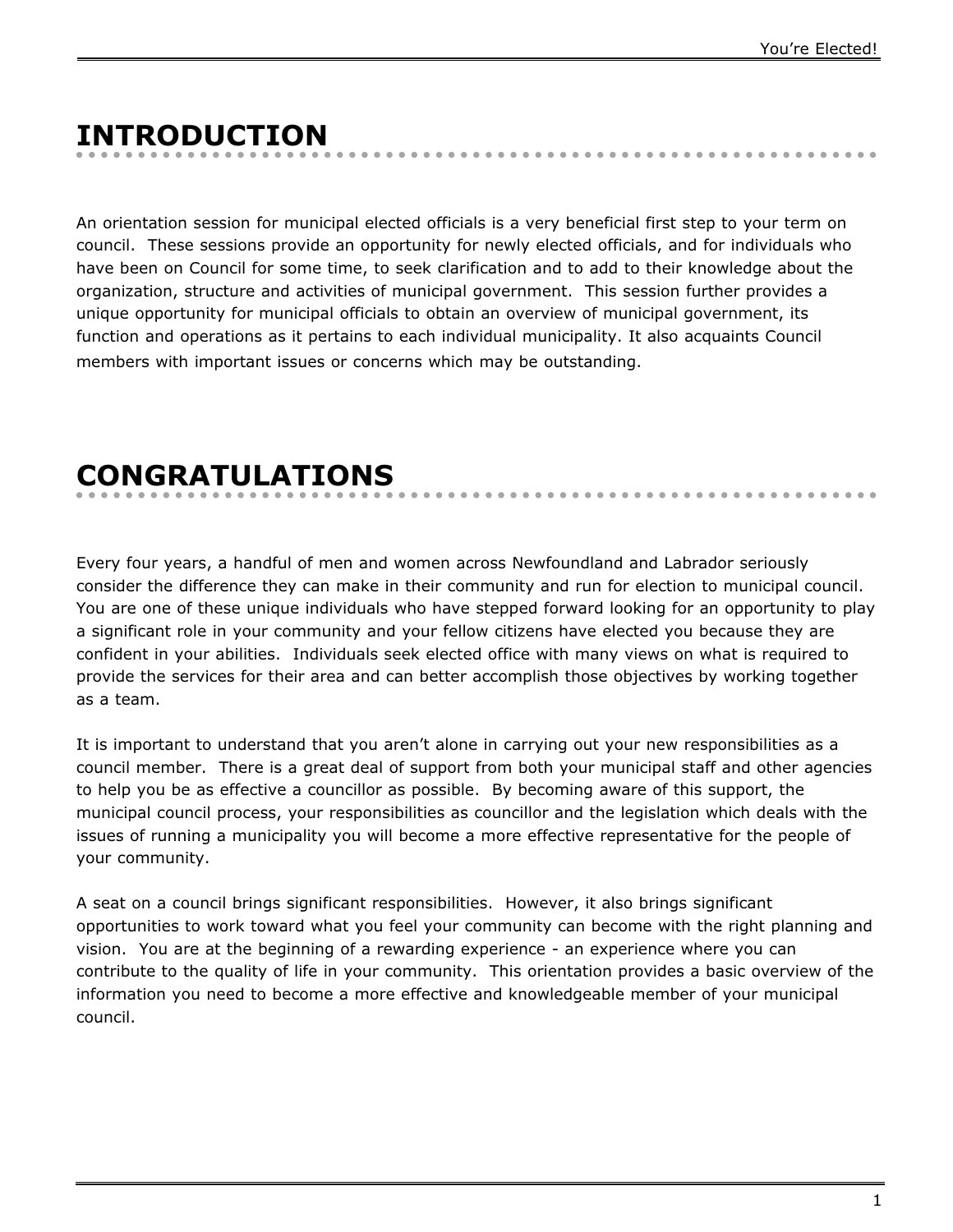# **INTRODUCTION**

An orientation session for municipal elected officials is a very beneficial first step to your term on council. These sessions provide an opportunity for newly elected officials, and for individuals who have been on Council for some time, to seek clarification and to add to their knowledge about the organization, structure and activities of municipal government. This session further provides a unique opportunity for municipal officials to obtain an overview of municipal government, its function and operations as it pertains to each individual municipality. It also acquaints Council members with important issues or concerns which may be outstanding.

## **CONGRATULATIONS**

Every four years, a handful of men and women across Newfoundland and Labrador seriously consider the difference they can make in their community and run for election to municipal council. You are one of these unique individuals who have stepped forward looking for an opportunity to play a significant role in your community and your fellow citizens have elected you because they are confident in your abilities. Individuals seek elected office with many views on what is required to provide the services for their area and can better accomplish those objectives by working together as a team.

It is important to understand that you aren't alone in carrying out your new responsibilities as a council member. There is a great deal of support from both your municipal staff and other agencies to help you be as effective a councillor as possible. By becoming aware of this support, the municipal council process, your responsibilities as councillor and the legislation which deals with the issues of running a municipality you will become a more effective representative for the people of your community.

A seat on a council brings significant responsibilities. However, it also brings significant opportunities to work toward what you feel your community can become with the right planning and vision. You are at the beginning of a rewarding experience - an experience where you can contribute to the quality of life in your community. This orientation provides a basic overview of the information you need to become a more effective and knowledgeable member of your municipal council.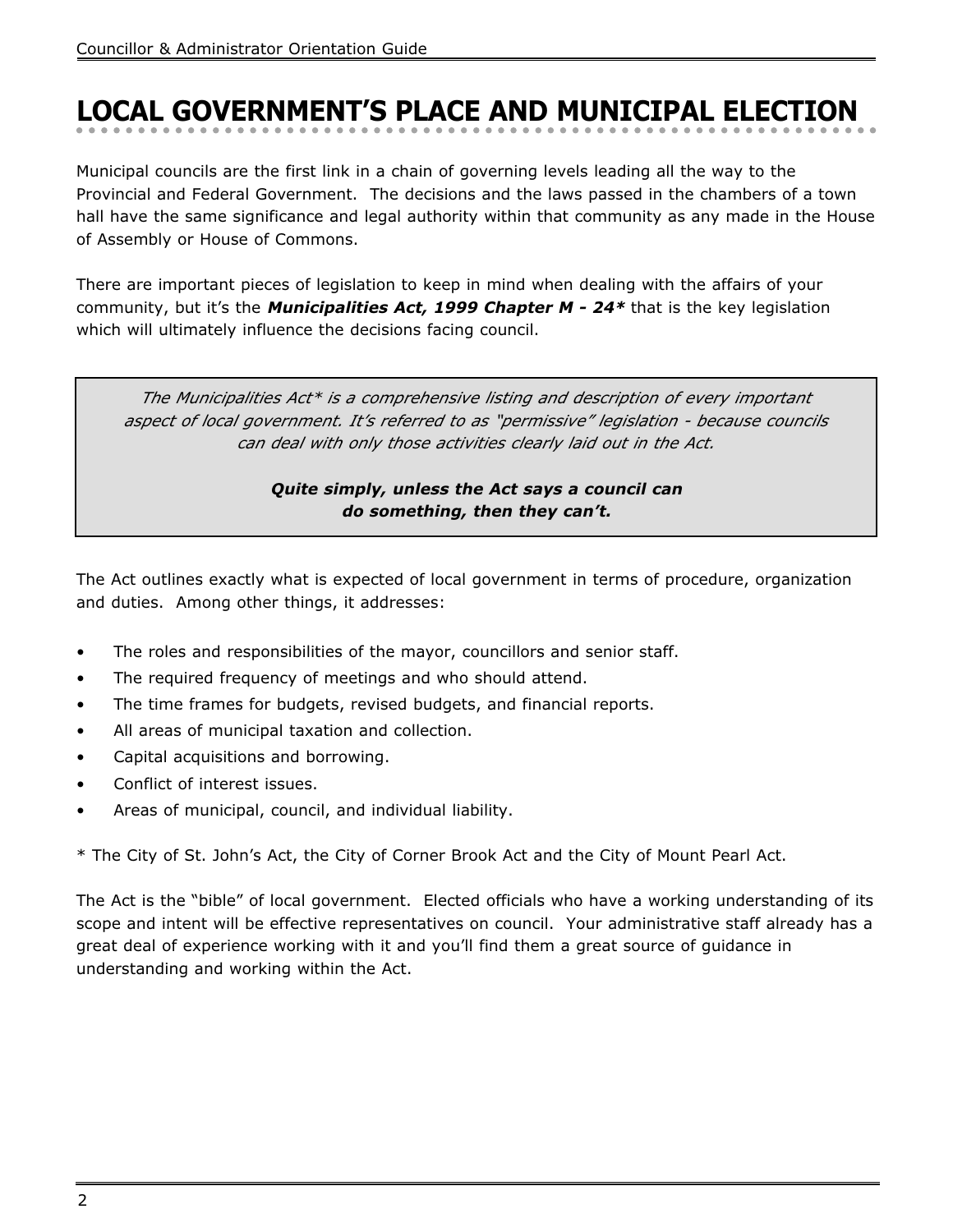# **LOCAL GOVERNMENT'S PLACE AND MUNICIPAL ELECTION**

Municipal councils are the first link in a chain of governing levels leading all the way to the Provincial and Federal Government. The decisions and the laws passed in the chambers of a town hall have the same significance and legal authority within that community as any made in the House of Assembly or House of Commons.

There are important pieces of legislation to keep in mind when dealing with the affairs of your community, but it's the **Municipalities Act, 1999 Chapter M - 24\*** that is the key legislation which will ultimately influence the decisions facing council.

*The Municipalities Act\* is a comprehensive listing and description of every important aspect of local government. It's referred to as "permissive" legislation - because councils can deal with only those activities clearly laid out in the Act.*

#### **Quite simply, unless the Act says a council can do something, then they can't.**

The Act outlines exactly what is expected of local government in terms of procedure, organization and duties. Among other things, it addresses:

- The roles and responsibilities of the mayor, councillors and senior staff.
- The required frequency of meetings and who should attend.
- The time frames for budgets, revised budgets, and financial reports.
- All areas of municipal taxation and collection.
- Capital acquisitions and borrowing.
- Conflict of interest issues.
- Areas of municipal, council, and individual liability.

\* The City of St. John's Act, the City of Corner Brook Act and the City of Mount Pearl Act.

The Act is the "bible" of local government. Elected officials who have a working understanding of its scope and intent will be effective representatives on council. Your administrative staff already has a great deal of experience working with it and you'll find them a great source of guidance in understanding and working within the Act.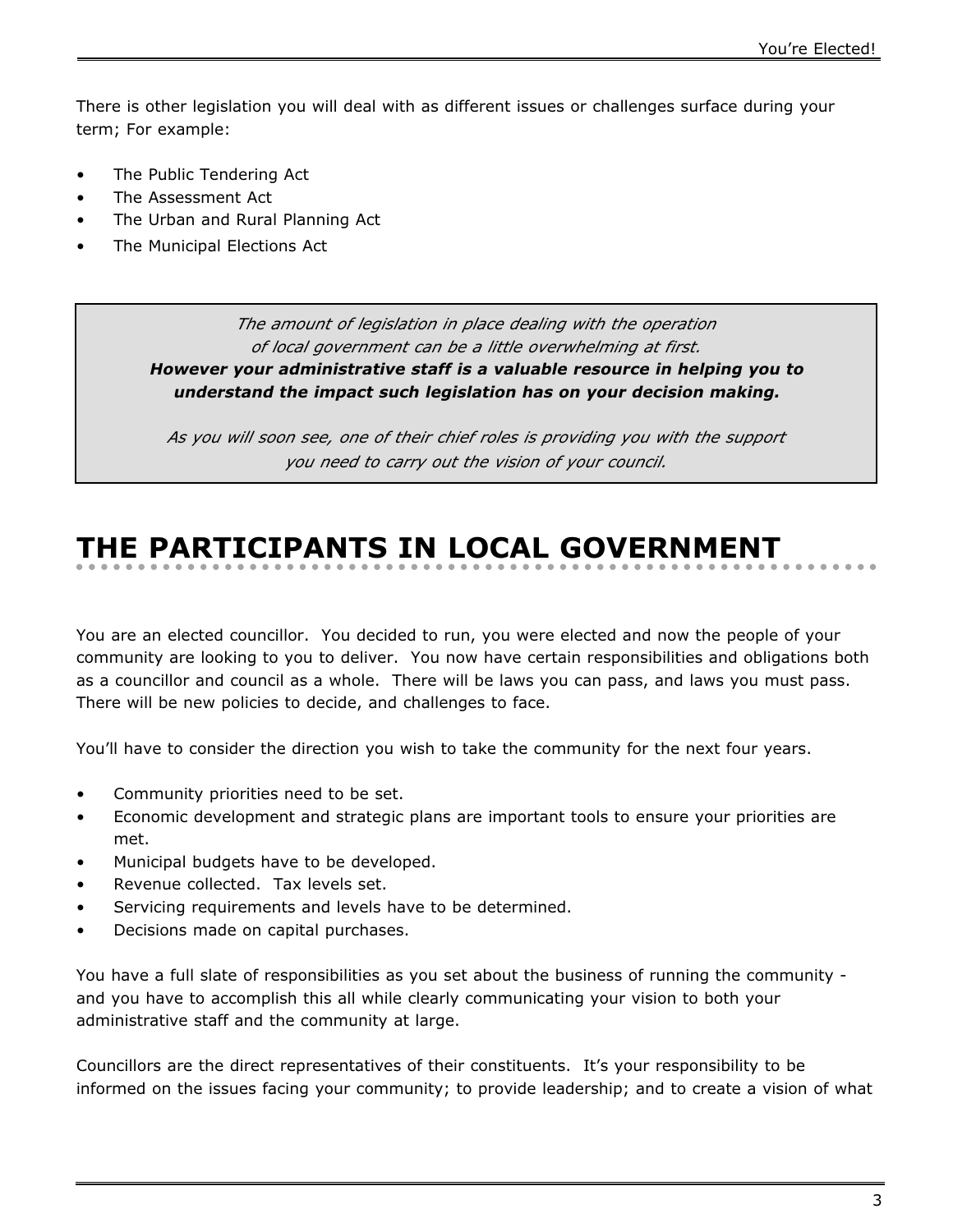There is other legislation you will deal with as different issues or challenges surface during your term; For example:

- The Public Tendering Act
- The Assessment Act
- The Urban and Rural Planning Act
- The Municipal Elections Act

*The amount of legislation in place dealing with the operation of local government can be a little overwhelming at first.* **However your administrative staff is a valuable resource in helping you to understand the impact such legislation has on your decision making.**

*As you will soon see, one of their chief roles is providing you with the support you need to carry out the vision of your council.*

# **THE PARTICIPANTS IN LOCAL GOVERNMENT**

You are an elected councillor. You decided to run, you were elected and now the people of your community are looking to you to deliver. You now have certain responsibilities and obligations both as a councillor and council as a whole. There will be laws you can pass, and laws you must pass. There will be new policies to decide, and challenges to face.

You'll have to consider the direction you wish to take the community for the next four years.

- Community priorities need to be set.
- Economic development and strategic plans are important tools to ensure your priorities are met.
- Municipal budgets have to be developed.
- Revenue collected. Tax levels set.
- Servicing requirements and levels have to be determined.
- Decisions made on capital purchases.

You have a full slate of responsibilities as you set about the business of running the community and you have to accomplish this all while clearly communicating your vision to both your administrative staff and the community at large.

Councillors are the direct representatives of their constituents. It's your responsibility to be informed on the issues facing your community; to provide leadership; and to create a vision of what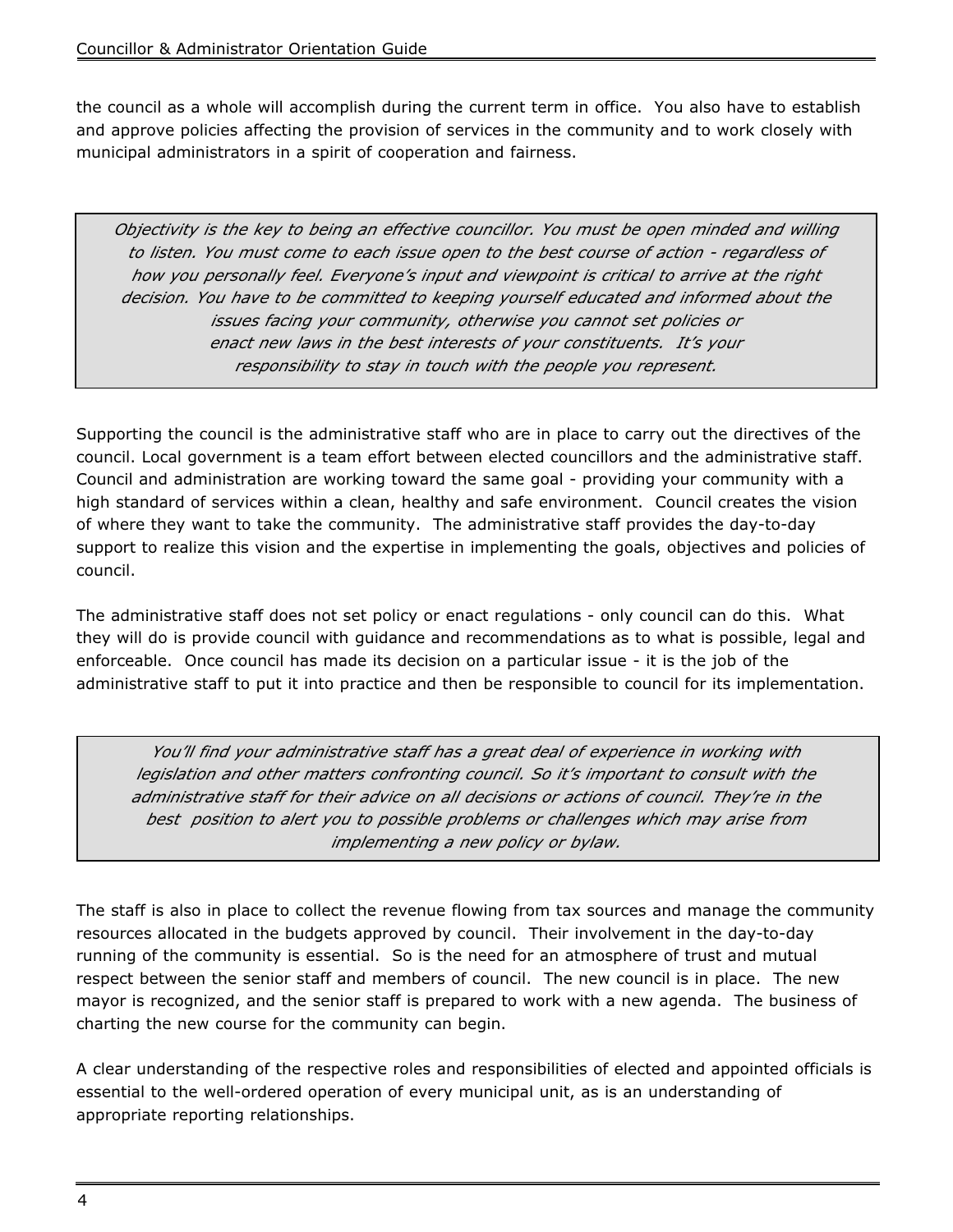the council as a whole will accomplish during the current term in office. You also have to establish and approve policies affecting the provision of services in the community and to work closely with municipal administrators in a spirit of cooperation and fairness.

*Objectivity is the key to being an effective councillor. You must be open minded and willing to listen. You must come to each issue open to the best course of action - regardless of how you personally feel. Everyone's input and viewpoint is critical to arrive at the right decision. You have to be committed to keeping yourself educated and informed about the issues facing your community, otherwise you cannot set policies or enact new laws in the best interests of your constituents. It's your responsibility to stay in touch with the people you represent.*

Supporting the council is the administrative staff who are in place to carry out the directives of the council. Local government is a team effort between elected councillors and the administrative staff. Council and administration are working toward the same goal - providing your community with a high standard of services within a clean, healthy and safe environment. Council creates the vision of where they want to take the community. The administrative staff provides the day-to-day support to realize this vision and the expertise in implementing the goals, objectives and policies of council.

The administrative staff does not set policy or enact regulations - only council can do this. What they will do is provide council with guidance and recommendations as to what is possible, legal and enforceable. Once council has made its decision on a particular issue - it is the job of the administrative staff to put it into practice and then be responsible to council for its implementation.

*You'll find your administrative staff has a great deal of experience in working with legislation and other matters confronting council. So it's important to consult with the administrative staff for their advice on all decisions or actions of council. They're in the best position to alert you to possible problems or challenges which may arise from implementing a new policy or bylaw.*

The staff is also in place to collect the revenue flowing from tax sources and manage the community resources allocated in the budgets approved by council. Their involvement in the day-to-day running of the community is essential. So is the need for an atmosphere of trust and mutual respect between the senior staff and members of council. The new council is in place. The new mayor is recognized, and the senior staff is prepared to work with a new agenda. The business of charting the new course for the community can begin.

A clear understanding of the respective roles and responsibilities of elected and appointed officials is essential to the well-ordered operation of every municipal unit, as is an understanding of appropriate reporting relationships.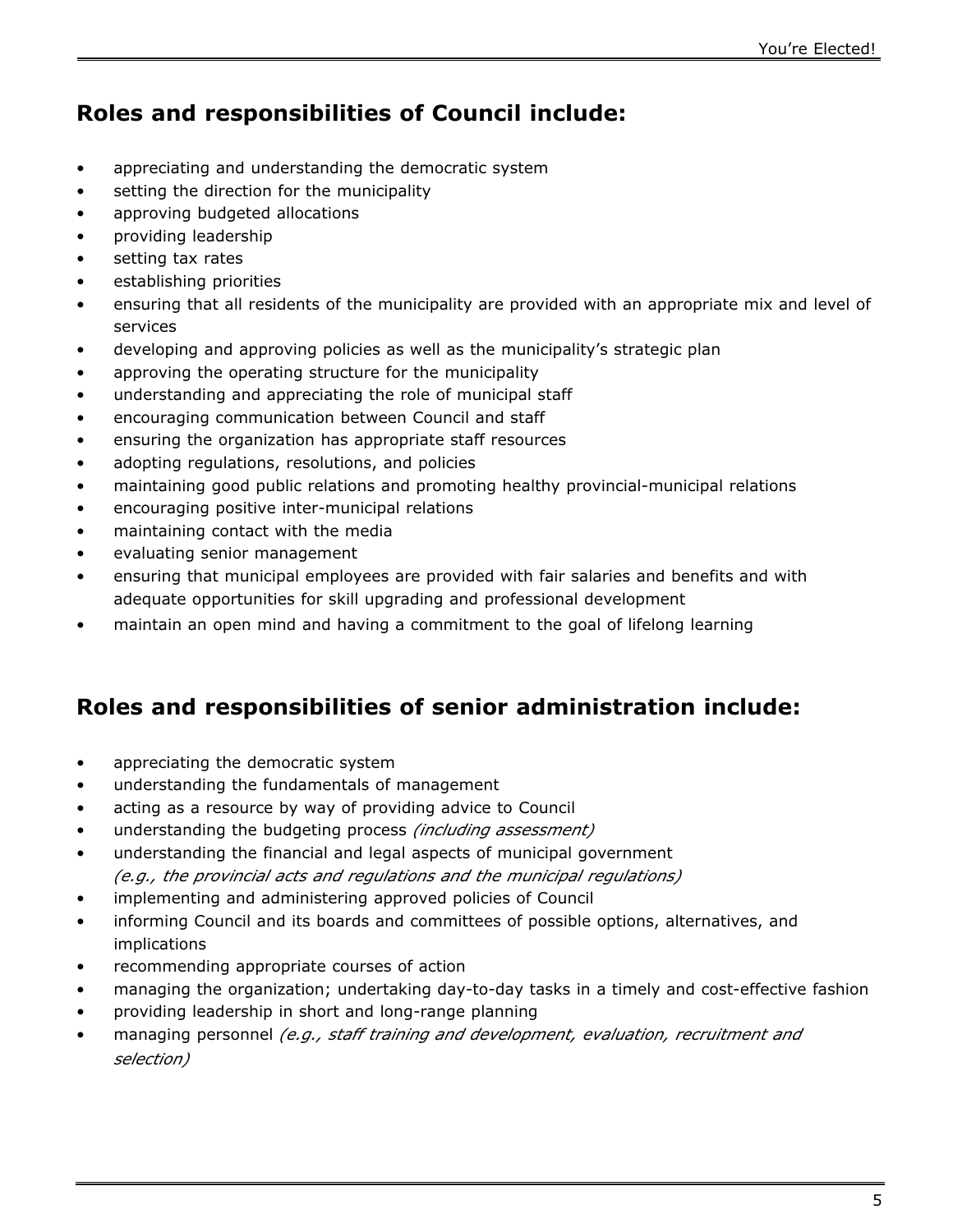## **Roles and responsibilities of Council include:**

- appreciating and understanding the democratic system
- setting the direction for the municipality
- approving budgeted allocations
- providing leadership
- setting tax rates
- establishing priorities
- ensuring that all residents of the municipality are provided with an appropriate mix and level of services
- developing and approving policies as well as the municipality's strategic plan
- approving the operating structure for the municipality
- understanding and appreciating the role of municipal staff
- encouraging communication between Council and staff
- ensuring the organization has appropriate staff resources
- adopting regulations, resolutions, and policies
- maintaining good public relations and promoting healthy provincial-municipal relations
- encouraging positive inter-municipal relations
- maintaining contact with the media
- evaluating senior management
- ensuring that municipal employees are provided with fair salaries and benefits and with adequate opportunities for skill upgrading and professional development
- maintain an open mind and having a commitment to the goal of lifelong learning

## **Roles and responsibilities of senior administration include:**

- appreciating the democratic system
- understanding the fundamentals of management
- acting as a resource by way of providing advice to Council
- understanding the budgeting process *(including assessment)*
- understanding the financial and legal aspects of municipal government *(e.g., the provincial acts and regulations and the municipal regulations)*
- implementing and administering approved policies of Council
- informing Council and its boards and committees of possible options, alternatives, and implications
- recommending appropriate courses of action
- managing the organization; undertaking day-to-day tasks in a timely and cost-effective fashion
- providing leadership in short and long-range planning
- managing personnel *(e.g., staff training and development, evaluation, recruitment and selection)*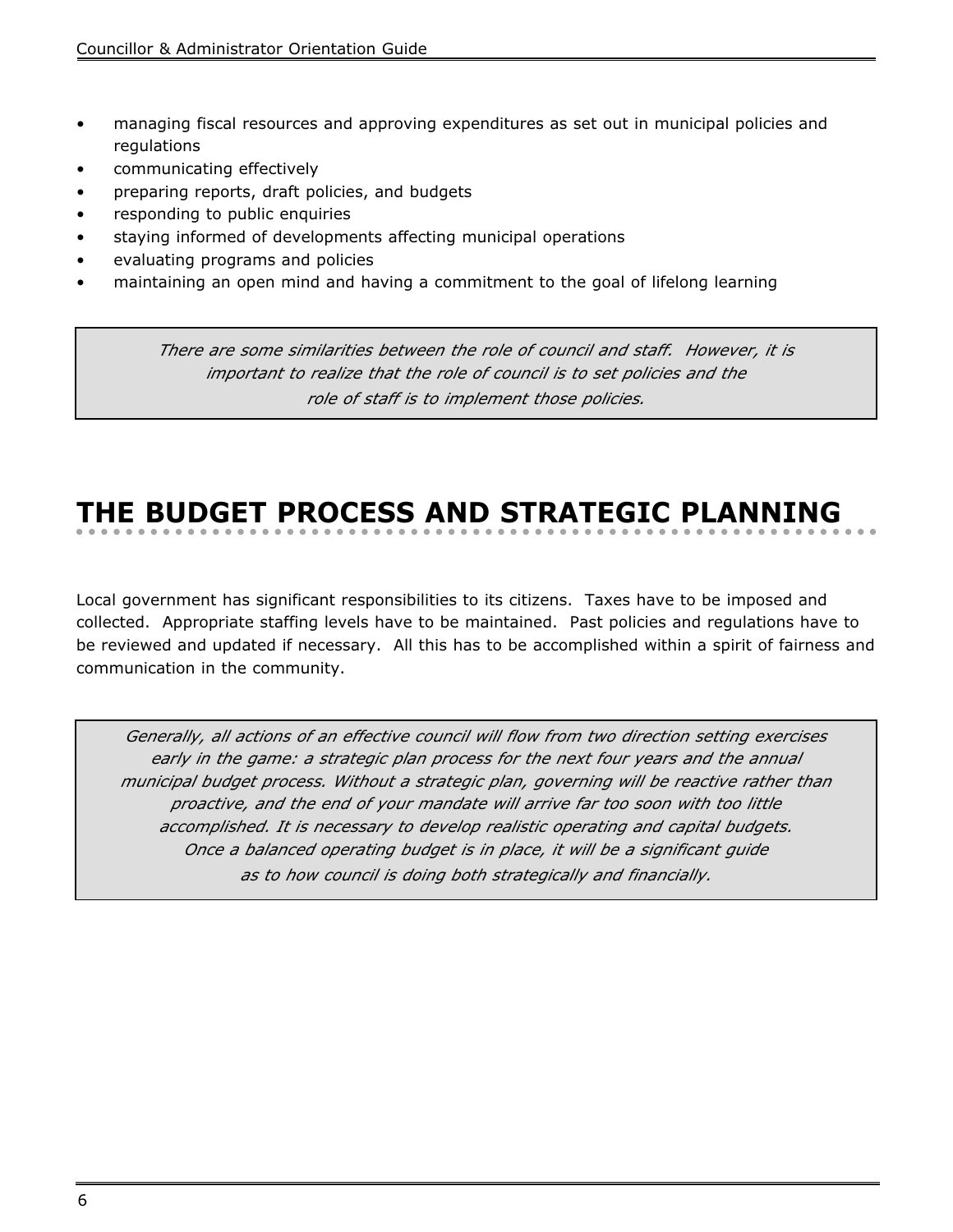- managing fiscal resources and approving expenditures as set out in municipal policies and regulations
- communicating effectively
- preparing reports, draft policies, and budgets
- responding to public enquiries
- staying informed of developments affecting municipal operations
- evaluating programs and policies
- maintaining an open mind and having a commitment to the goal of lifelong learning

*There are some similarities between the role of council and staff. However, it is important to realize that the role of council is to set policies and the role of staff is to implement those policies.*

# **THE BUDGET PROCESS AND STRATEGIC PLANNING**

Local government has significant responsibilities to its citizens. Taxes have to be imposed and collected. Appropriate staffing levels have to be maintained. Past policies and regulations have to be reviewed and updated if necessary. All this has to be accomplished within a spirit of fairness and communication in the community.

*Generally, all actions of an effective council will flow from two direction setting exercises early in the game: a strategic plan process for the next four years and the annual municipal budget process. Without a strategic plan, governing will be reactive rather than proactive, and the end of your mandate will arrive far too soon with too little accomplished. It is necessary to develop realistic operating and capital budgets. Once a balanced operating budget is in place, it will be a significant guide as to how council is doing both strategically and financially.*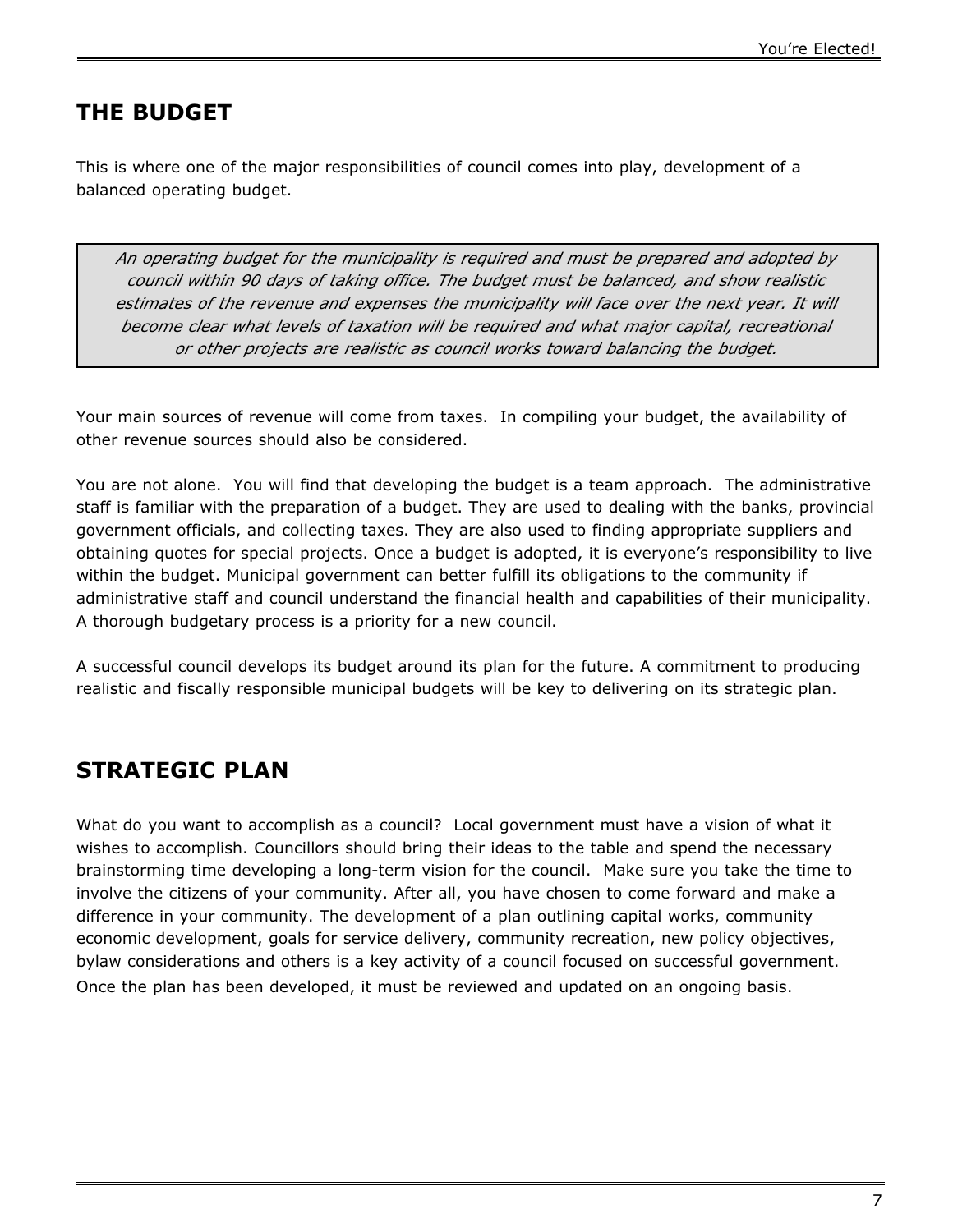### **THE BUDGET**

This is where one of the major responsibilities of council comes into play, development of a balanced operating budget.

*An operating budget for the municipality is required and must be prepared and adopted by council within 90 days of taking office. The budget must be balanced, and show realistic estimates of the revenue and expenses the municipality will face over the next year. It will become clear what levels of taxation will be required and what major capital, recreational or other projects are realistic as council works toward balancing the budget.*

Your main sources of revenue will come from taxes. In compiling your budget, the availability of other revenue sources should also be considered.

You are not alone. You will find that developing the budget is a team approach. The administrative staff is familiar with the preparation of a budget. They are used to dealing with the banks, provincial government officials, and collecting taxes. They are also used to finding appropriate suppliers and obtaining quotes for special projects. Once a budget is adopted, it is everyone's responsibility to live within the budget. Municipal government can better fulfill its obligations to the community if administrative staff and council understand the financial health and capabilities of their municipality. A thorough budgetary process is a priority for a new council.

A successful council develops its budget around its plan for the future. A commitment to producing realistic and fiscally responsible municipal budgets will be key to delivering on its strategic plan.

### **STRATEGIC PLAN**

What do you want to accomplish as a council? Local government must have a vision of what it wishes to accomplish. Councillors should bring their ideas to the table and spend the necessary brainstorming time developing a long-term vision for the council. Make sure you take the time to involve the citizens of your community. After all, you have chosen to come forward and make a difference in your community. The development of a plan outlining capital works, community economic development, goals for service delivery, community recreation, new policy objectives, bylaw considerations and others is a key activity of a council focused on successful government. Once the plan has been developed, it must be reviewed and updated on an ongoing basis.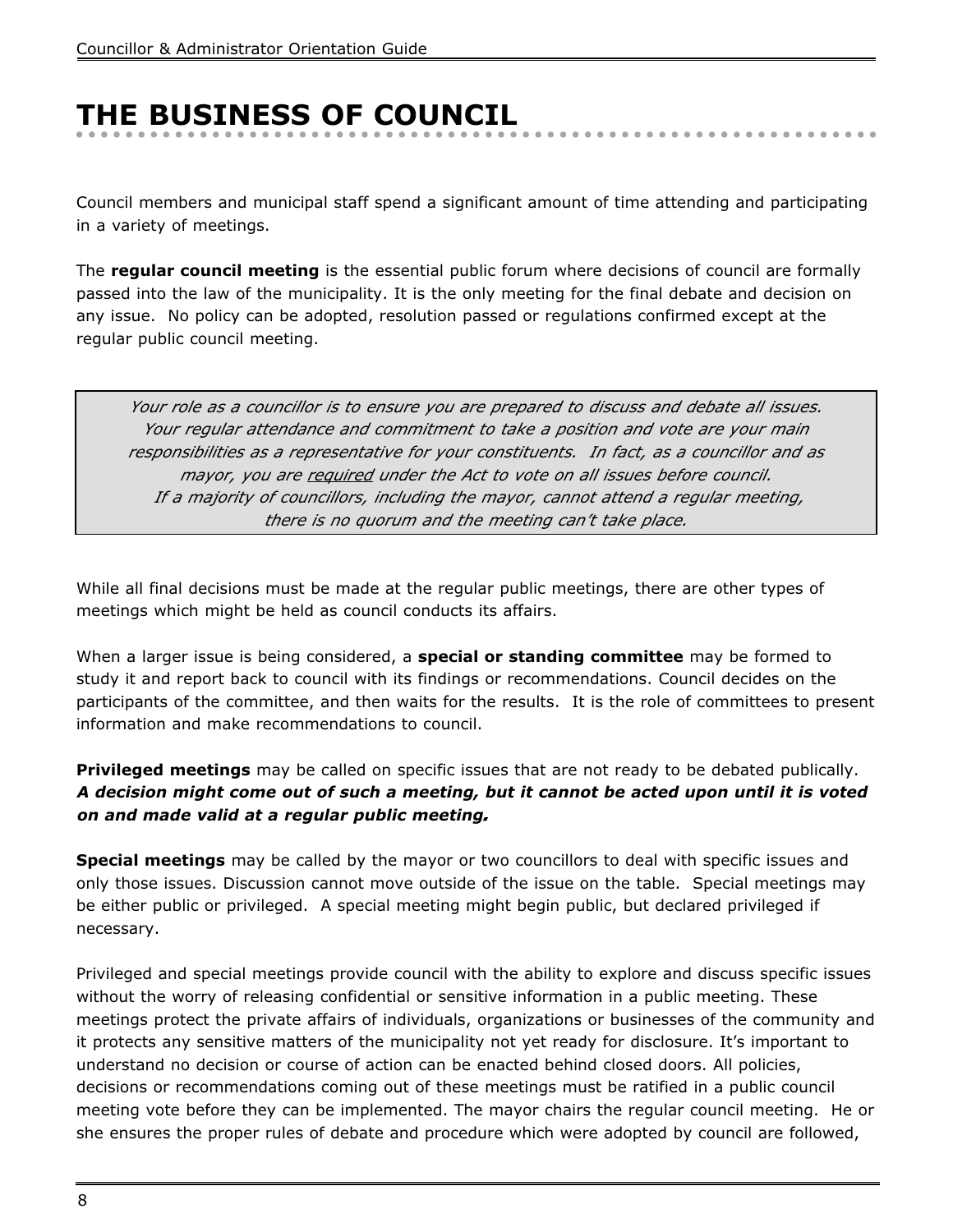# **THE BUSINESS OF COUNCIL**

Council members and municipal staff spend a significant amount of time attending and participating in a variety of meetings.

The **regular council meeting** is the essential public forum where decisions of council are formally passed into the law of the municipality. It is the only meeting for the final debate and decision on any issue. No policy can be adopted, resolution passed or regulations confirmed except at the regular public council meeting.

*Your role as a councillor is to ensure you are prepared to discuss and debate all issues. Your regular attendance and commitment to take a position and vote are your main responsibilities as a representative for your constituents. In fact, as a councillor and as mayor, you are required under the Act to vote on all issues before council. If a majority of councillors, including the mayor, cannot attend a regular meeting, there is no quorum and the meeting can't take place.*

While all final decisions must be made at the regular public meetings, there are other types of meetings which might be held as council conducts its affairs.

When a larger issue is being considered, a **special or standing committee** may be formed to study it and report back to council with its findings or recommendations. Council decides on the participants of the committee, and then waits for the results. It is the role of committees to present information and make recommendations to council.

**Privileged meetings** may be called on specific issues that are not ready to be debated publically. **A decision might come out of such a meeting, but it cannot be acted upon until it is voted on and made valid at a regular public meeting***.*

**Special meetings** may be called by the mayor or two councillors to deal with specific issues and only those issues. Discussion cannot move outside of the issue on the table. Special meetings may be either public or privileged. A special meeting might begin public, but declared privileged if necessary.

Privileged and special meetings provide council with the ability to explore and discuss specific issues without the worry of releasing confidential or sensitive information in a public meeting. These meetings protect the private affairs of individuals, organizations or businesses of the community and it protects any sensitive matters of the municipality not yet ready for disclosure. It's important to understand no decision or course of action can be enacted behind closed doors. All policies, decisions or recommendations coming out of these meetings must be ratified in a public council meeting vote before they can be implemented. The mayor chairs the regular council meeting. He or she ensures the proper rules of debate and procedure which were adopted by council are followed,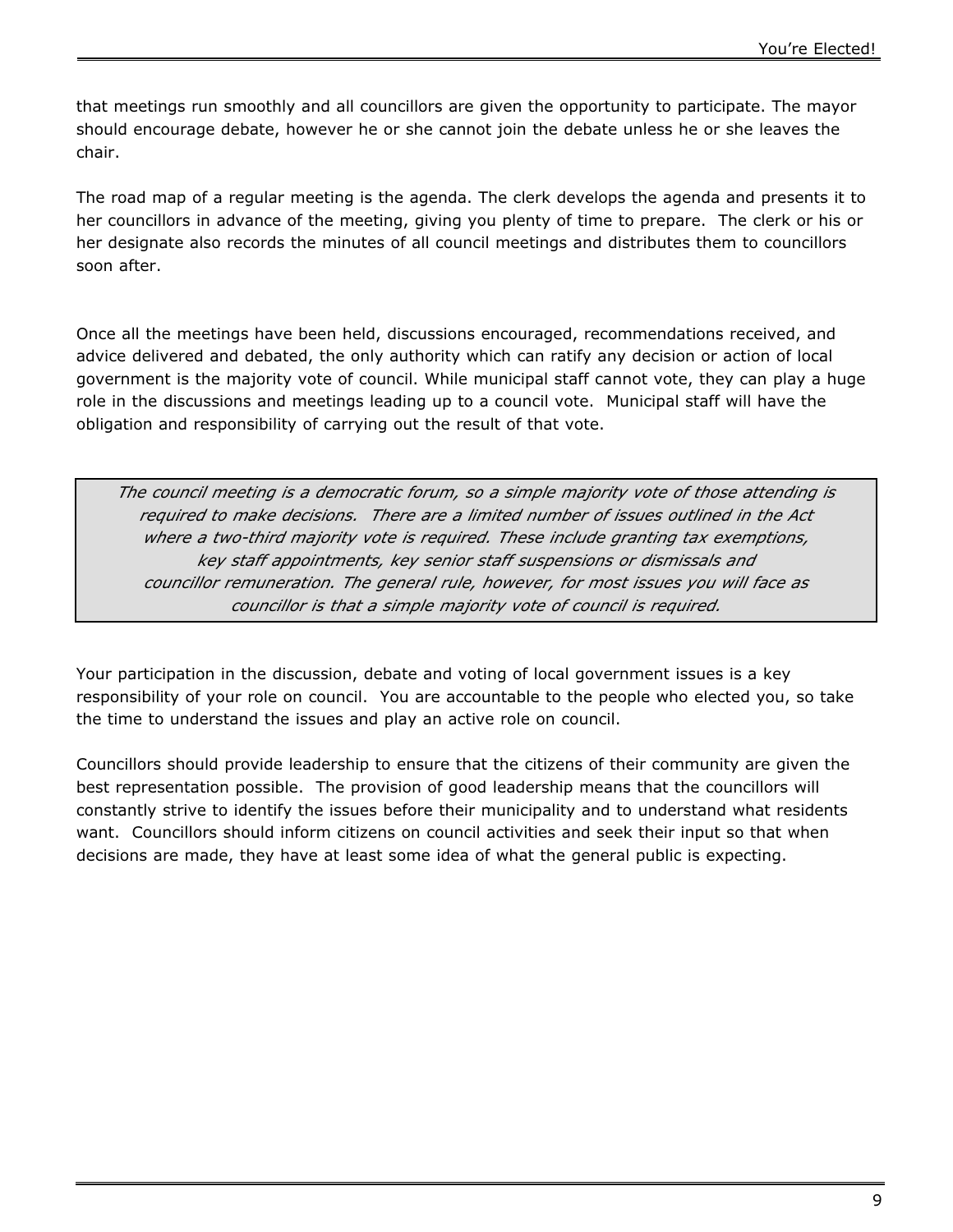that meetings run smoothly and all councillors are given the opportunity to participate. The mayor should encourage debate, however he or she cannot join the debate unless he or she leaves the chair.

The road map of a regular meeting is the agenda. The clerk develops the agenda and presents it to her councillors in advance of the meeting, giving you plenty of time to prepare. The clerk or his or her designate also records the minutes of all council meetings and distributes them to councillors soon after.

Once all the meetings have been held, discussions encouraged, recommendations received, and advice delivered and debated, the only authority which can ratify any decision or action of local government is the majority vote of council. While municipal staff cannot vote, they can play a huge role in the discussions and meetings leading up to a council vote. Municipal staff will have the obligation and responsibility of carrying out the result of that vote.

*The council meeting is a democratic forum, so a simple majority vote of those attending is required to make decisions. There are a limited number of issues outlined in the Act where a two-third majority vote is required. These include granting tax exemptions, key staff appointments, key senior staff suspensions or dismissals and councillor remuneration. The general rule, however, for most issues you will face as councillor is that a simple majority vote of council is required.*

Your participation in the discussion, debate and voting of local government issues is a key responsibility of your role on council. You are accountable to the people who elected you, so take the time to understand the issues and play an active role on council.

Councillors should provide leadership to ensure that the citizens of their community are given the best representation possible. The provision of good leadership means that the councillors will constantly strive to identify the issues before their municipality and to understand what residents want. Councillors should inform citizens on council activities and seek their input so that when decisions are made, they have at least some idea of what the general public is expecting.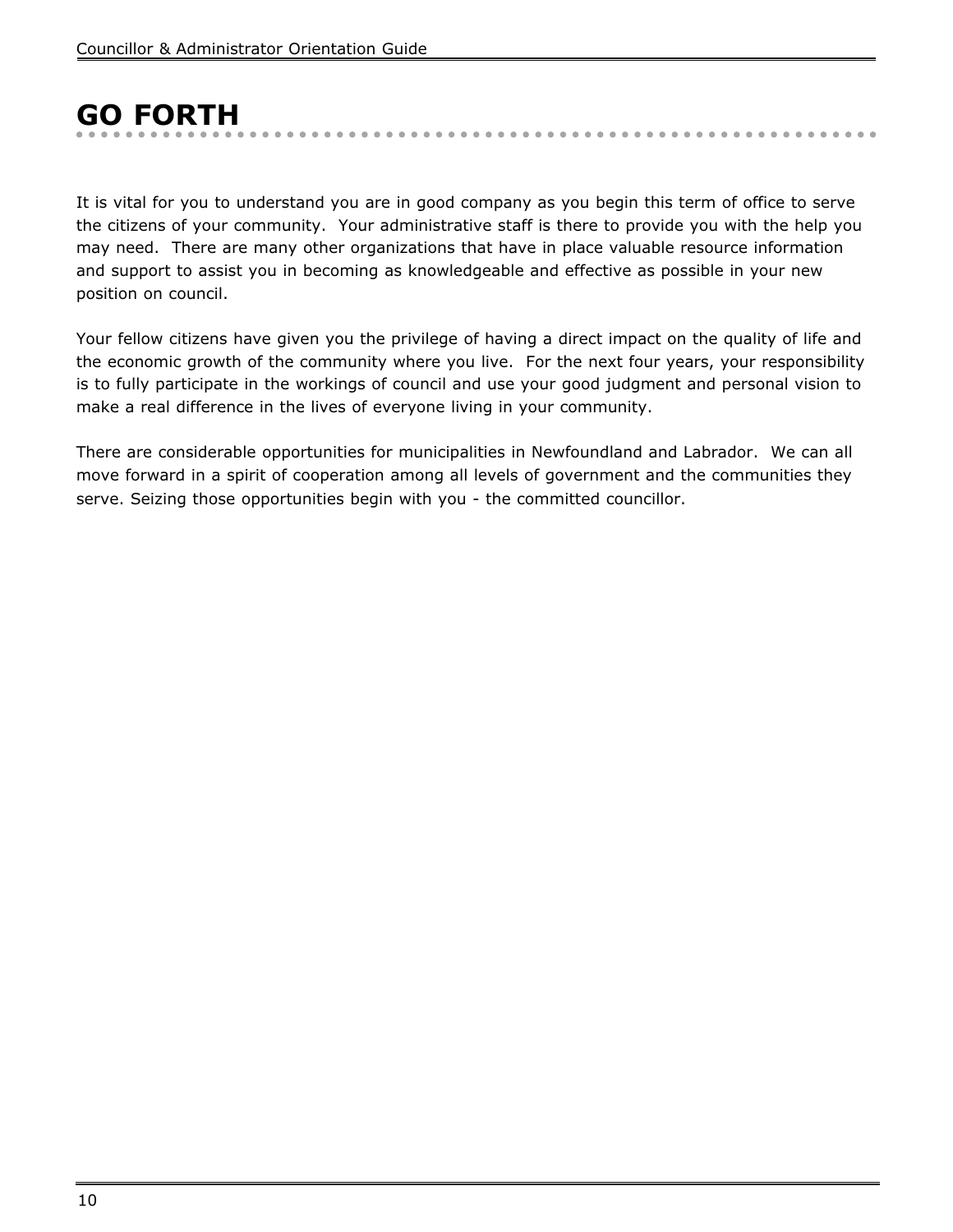# **GO FORTH**

It is vital for you to understand you are in good company as you begin this term of office to serve the citizens of your community. Your administrative staff is there to provide you with the help you may need. There are many other organizations that have in place valuable resource information and support to assist you in becoming as knowledgeable and effective as possible in your new position on council.

. . . . . . . . . . . . . .

Your fellow citizens have given you the privilege of having a direct impact on the quality of life and the economic growth of the community where you live. For the next four years, your responsibility is to fully participate in the workings of council and use your good judgment and personal vision to make a real difference in the lives of everyone living in your community.

There are considerable opportunities for municipalities in Newfoundland and Labrador. We can all move forward in a spirit of cooperation among all levels of government and the communities they serve. Seizing those opportunities begin with you - the committed councillor.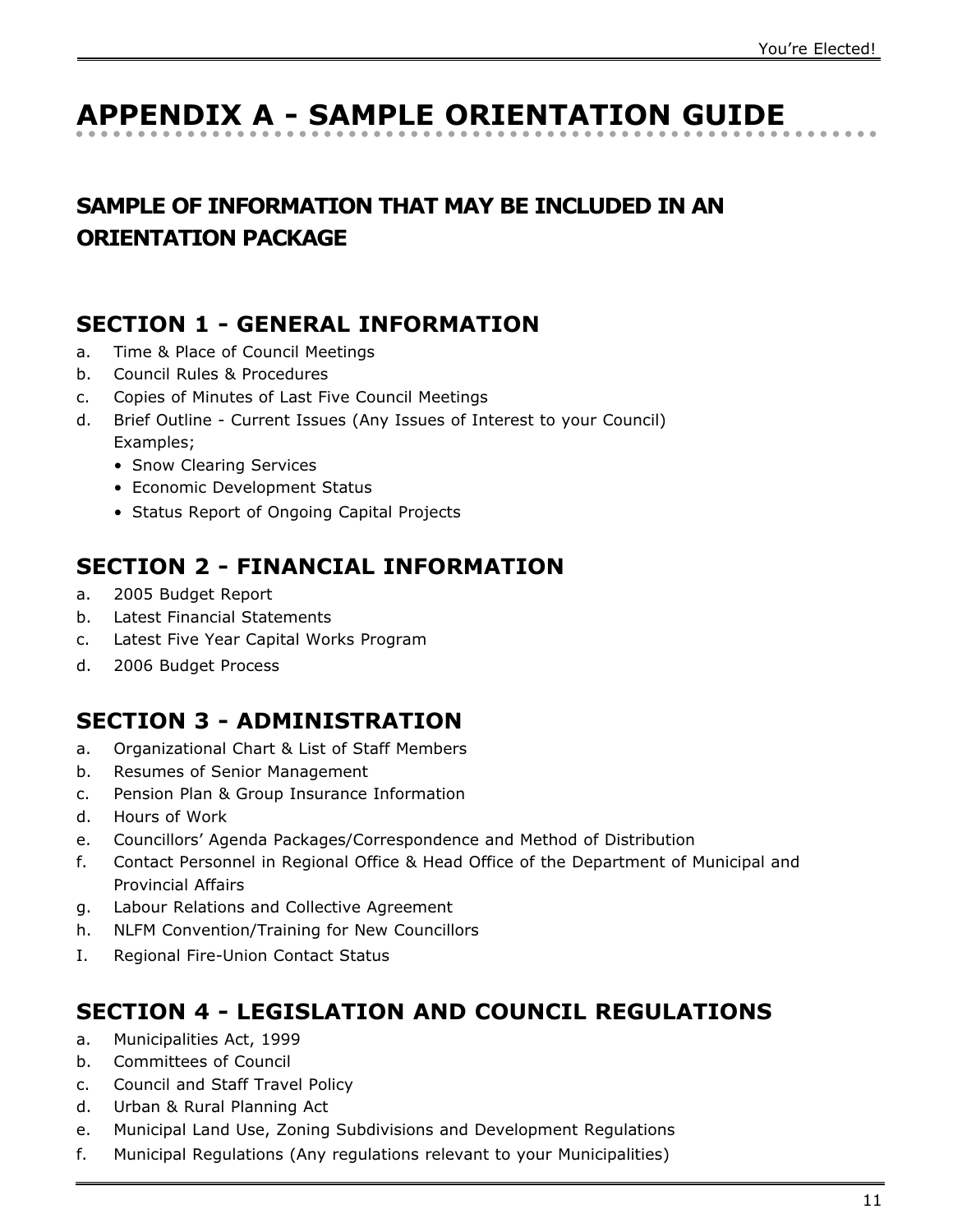# **APPENDIX A - SAMPLE ORIENTATION GUIDE**

## **SAMPLE OF INFORMATION THAT MAY BE INCLUDED IN AN ORIENTATION PACKAGE**

### **SECTION 1 - GENERAL INFORMATION**

- a. Time & Place of Council Meetings
- b. Council Rules & Procedures
- c. Copies of Minutes of Last Five Council Meetings
- d. Brief Outline Current Issues (Any Issues of Interest to your Council) Examples;
	- Snow Clearing Services
	- Economic Development Status
	- Status Report of Ongoing Capital Projects

### **SECTION 2 - FINANCIAL INFORMATION**

- a. 2005 Budget Report
- b. Latest Financial Statements
- c. Latest Five Year Capital Works Program
- d. 2006 Budget Process

## **SECTION 3 - ADMINISTRATION**

- a. Organizational Chart & List of Staff Members
- b. Resumes of Senior Management
- c. Pension Plan & Group Insurance Information
- d. Hours of Work
- e. Councillors' Agenda Packages/Correspondence and Method of Distribution
- f. Contact Personnel in Regional Office & Head Office of the Department of Municipal and Provincial Affairs
- g. Labour Relations and Collective Agreement
- h. NLFM Convention/Training for New Councillors
- I. Regional Fire-Union Contact Status

### **SECTION 4 - LEGISLATION AND COUNCIL REGULATIONS**

- a. Municipalities Act, 1999
- b. Committees of Council
- c. Council and Staff Travel Policy
- d. Urban & Rural Planning Act
- e. Municipal Land Use, Zoning Subdivisions and Development Regulations
- f. Municipal Regulations (Any regulations relevant to your Municipalities)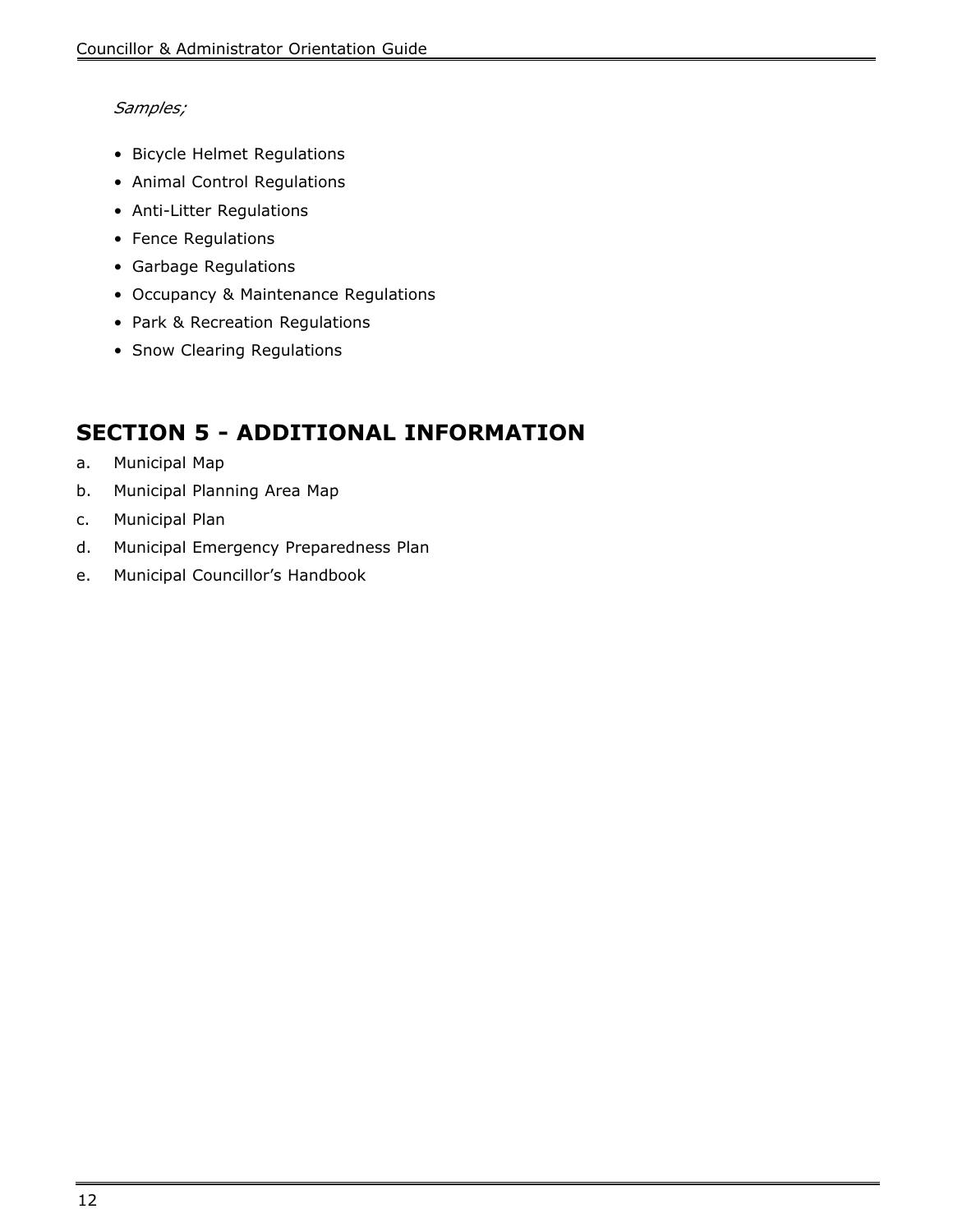#### *Samples;*

- Bicycle Helmet Regulations
- Animal Control Regulations
- Anti-Litter Regulations
- Fence Regulations
- Garbage Regulations
- Occupancy & Maintenance Regulations
- Park & Recreation Regulations
- Snow Clearing Regulations

## **SECTION 5 - ADDITIONAL INFORMATION**

- a. Municipal Map
- b. Municipal Planning Area Map
- c. Municipal Plan
- d. Municipal Emergency Preparedness Plan
- e. Municipal Councillor's Handbook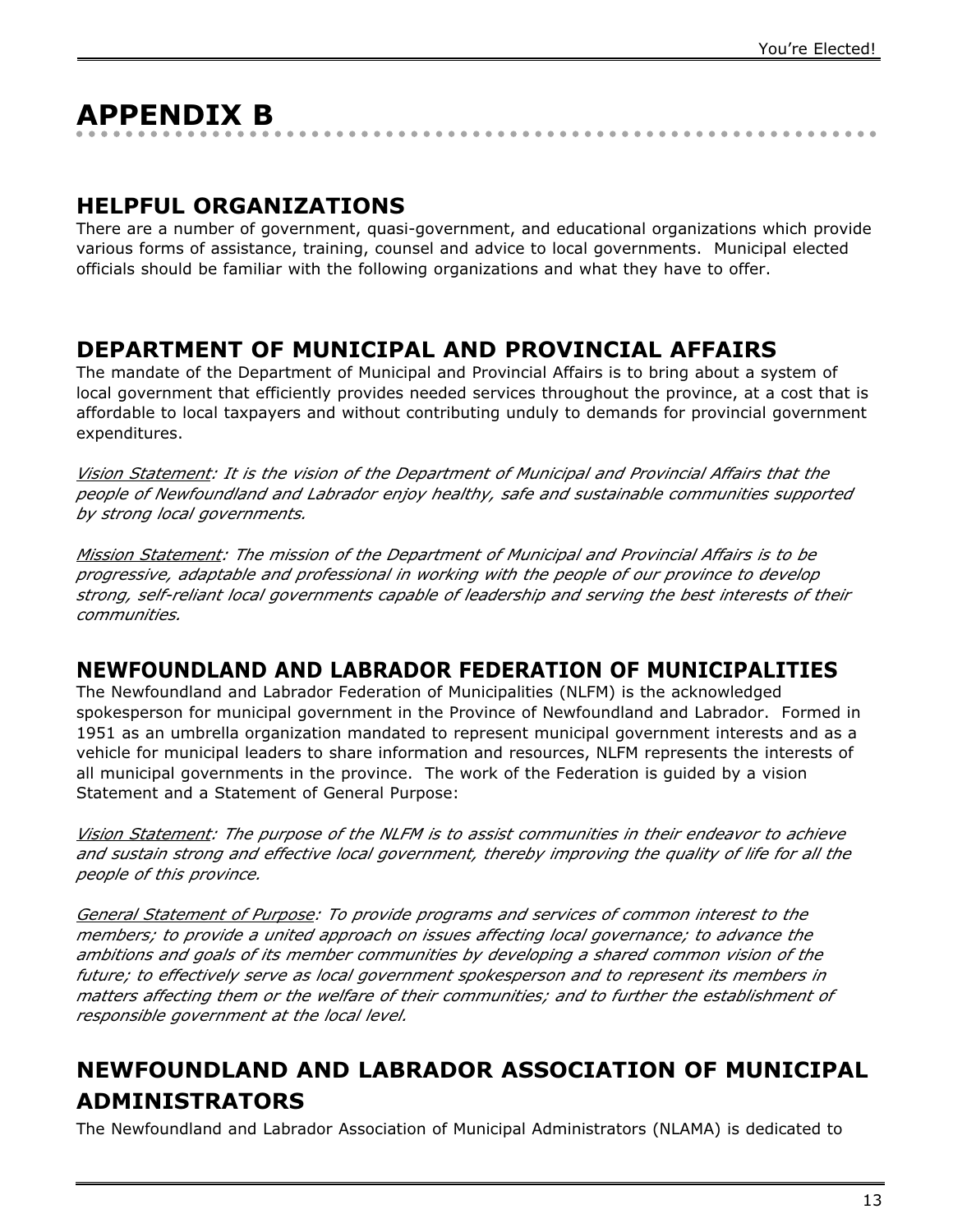# **APPENDIX B**

### **HELPFUL ORGANIZATIONS**

There are a number of government, quasi-government, and educational organizations which provide various forms of assistance, training, counsel and advice to local governments. Municipal elected officials should be familiar with the following organizations and what they have to offer.

### **DEPARTMENT OF MUNICIPAL AND PROVINCIAL AFFAIRS**

The mandate of the Department of Municipal and Provincial Affairs is to bring about a system of local government that efficiently provides needed services throughout the province, at a cost that is affordable to local taxpayers and without contributing unduly to demands for provincial government expenditures.

*Vision Statement: It is the vision of the Department of Municipal and Provincial Affairs that the people of Newfoundland and Labrador enjoy healthy, safe and sustainable communities supported by strong local governments.*

*Mission Statement: The mission of the Department of Municipal and Provincial Affairs is to be progressive, adaptable and professional in working with the people of our province to develop strong, self-reliant local governments capable of leadership and serving the best interests of their communities.*

### **NEWFOUNDLAND AND LABRADOR FEDERATION OF MUNICIPALITIES**

The Newfoundland and Labrador Federation of Municipalities (NLFM) is the acknowledged spokesperson for municipal government in the Province of Newfoundland and Labrador. Formed in 1951 as an umbrella organization mandated to represent municipal government interests and as a vehicle for municipal leaders to share information and resources, NLFM represents the interests of all municipal governments in the province. The work of the Federation is guided by a vision Statement and a Statement of General Purpose:

*Vision Statement: The purpose of the NLFM is to assist communities in their endeavor to achieve and sustain strong and effective local government, thereby improving the quality of life for all the people of this province.*

*General Statement of Purpose: To provide programs and services of common interest to the members; to provide a united approach on issues affecting local governance; to advance the ambitions and goals of its member communities by developing a shared common vision of the future; to effectively serve as local government spokesperson and to represent its members in matters affecting them or the welfare of their communities; and to further the establishment of responsible government at the local level.*

## **NEWFOUNDLAND AND LABRADOR ASSOCIATION OF MUNICIPAL ADMINISTRATORS**

The Newfoundland and Labrador Association of Municipal Administrators (NLAMA) is dedicated to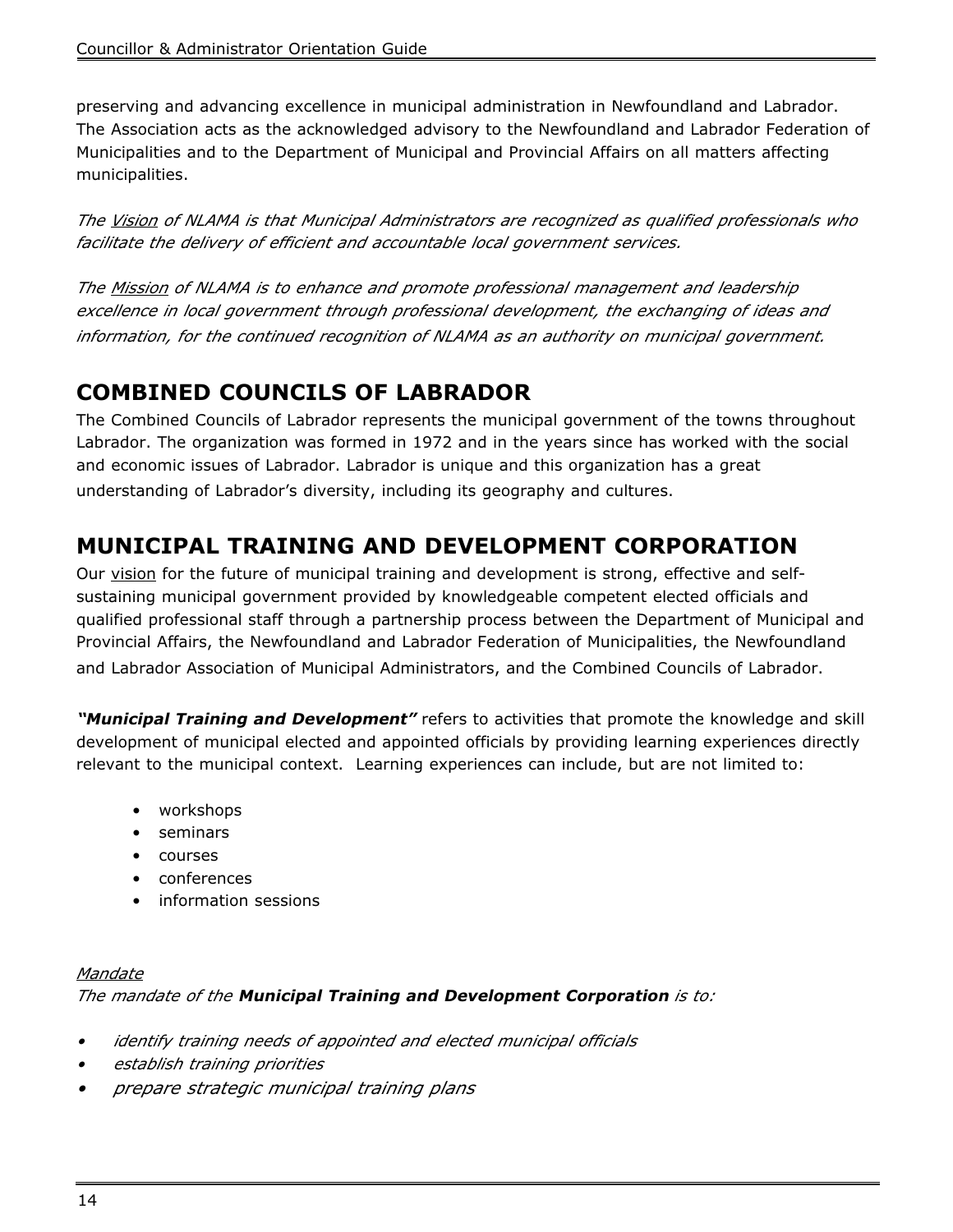preserving and advancing excellence in municipal administration in Newfoundland and Labrador. The Association acts as the acknowledged advisory to the Newfoundland and Labrador Federation of Municipalities and to the Department of Municipal and Provincial Affairs on all matters affecting municipalities.

*The Vision of NLAMA is that Municipal Administrators are recognized as qualified professionals who facilitate the delivery of efficient and accountable local government services.*

*The Mission of NLAMA is to enhance and promote professional management and leadership excellence in local government through professional development, the exchanging of ideas and information, for the continued recognition of NLAMA as an authority on municipal government.*

## **COMBINED COUNCILS OF LABRADOR**

The Combined Councils of Labrador represents the municipal government of the towns throughout Labrador. The organization was formed in 1972 and in the years since has worked with the social and economic issues of Labrador. Labrador is unique and this organization has a great understanding of Labrador's diversity, including its geography and cultures.

## **MUNICIPAL TRAINING AND DEVELOPMENT CORPORATION**

Our vision for the future of municipal training and development is strong, effective and selfsustaining municipal government provided by knowledgeable competent elected officials and qualified professional staff through a partnership process between the Department of Municipal and Provincial Affairs, the Newfoundland and Labrador Federation of Municipalities, the Newfoundland and Labrador Association of Municipal Administrators, and the Combined Councils of Labrador.

**"Municipal Training and Development"** refers to activities that promote the knowledge and skill development of municipal elected and appointed officials by providing learning experiences directly relevant to the municipal context. Learning experiences can include, but are not limited to:

- workshops
- seminars
- courses
- conferences
- information sessions

#### *Mandate The mandate of the* **Municipal Training and Development Corporation** *is to:*

- *• identify training needs of appointed and elected municipal officials*
- *• establish training priorities*
- *• prepare strategic municipal training plans*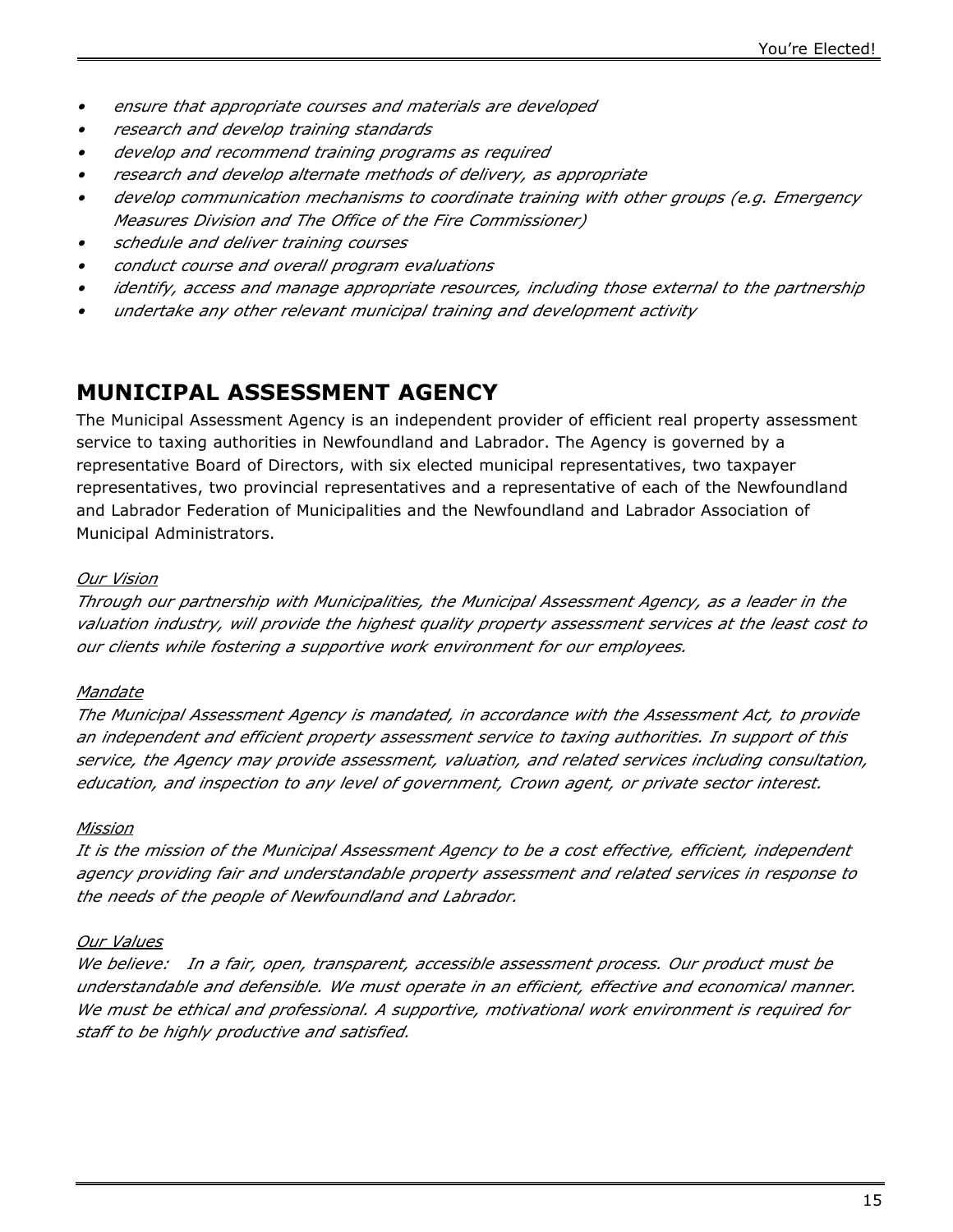- *• ensure that appropriate courses and materials are developed*
- *• research and develop training standards*
- *• develop and recommend training programs as required*
- *• research and develop alternate methods of delivery, as appropriate*
- *• develop communication mechanisms to coordinate training with other groups (e.g. Emergency Measures Division and The Office of the Fire Commissioner)*
- *• schedule and deliver training courses*
- *• conduct course and overall program evaluations*
- *• identify, access and manage appropriate resources, including those external to the partnership*
- *• undertake any other relevant municipal training and development activity*

### **MUNICIPAL ASSESSMENT AGENCY**

The Municipal Assessment Agency is an independent provider of efficient real property assessment service to taxing authorities in Newfoundland and Labrador. The Agency is governed by a representative Board of Directors, with six elected municipal representatives, two taxpayer representatives, two provincial representatives and a representative of each of the Newfoundland and Labrador Federation of Municipalities and the Newfoundland and Labrador Association of Municipal Administrators.

#### *Our Vision*

*Through our partnership with Municipalities, the Municipal Assessment Agency, as a leader in the valuation industry, will provide the highest quality property assessment services at the least cost to our clients while fostering a supportive work environment for our employees.*

#### *Mandate*

*The Municipal Assessment Agency is mandated, in accordance with the Assessment Act, to provide an independent and efficient property assessment service to taxing authorities. In support of this service, the Agency may provide assessment, valuation, and related services including consultation, education, and inspection to any level of government, Crown agent, or private sector interest.*

#### *Mission*

*It is the mission of the Municipal Assessment Agency to be a cost effective, efficient, independent agency providing fair and understandable property assessment and related services in response to the needs of the people of Newfoundland and Labrador.*

#### *Our Values*

*We believe: In a fair, open, transparent, accessible assessment process. Our product must be understandable and defensible. We must operate in an efficient, effective and economical manner. We must be ethical and professional. A supportive, motivational work environment is required for staff to be highly productive and satisfied.*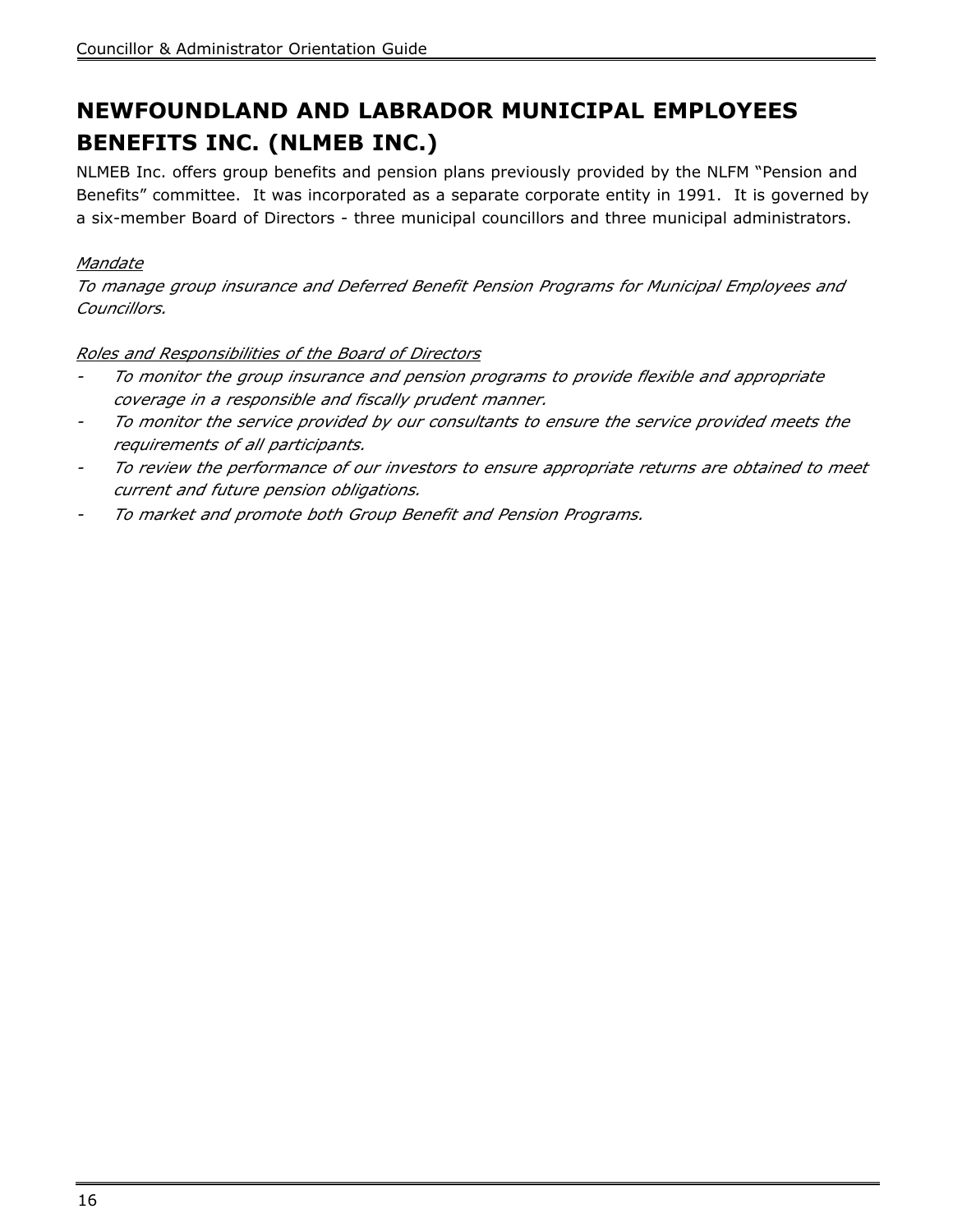## **NEWFOUNDLAND AND LABRADOR MUNICIPAL EMPLOYEES BENEFITS INC. (NLMEB INC.)**

NLMEB Inc. offers group benefits and pension plans previously provided by the NLFM "Pension and Benefits" committee. It was incorporated as a separate corporate entity in 1991. It is governed by a six-member Board of Directors - three municipal councillors and three municipal administrators.

#### *Mandate*

*To manage group insurance and Deferred Benefit Pension Programs for Municipal Employees and Councillors.*

#### *Roles and Responsibilities of the Board of Directors*

- *- To monitor the group insurance and pension programs to provide flexible and appropriate coverage in a responsible and fiscally prudent manner.*
- *- To monitor the service provided by our consultants to ensure the service provided meets the requirements of all participants.*
- *- To review the performance of our investors to ensure appropriate returns are obtained to meet current and future pension obligations.*
- *- To market and promote both Group Benefit and Pension Programs.*